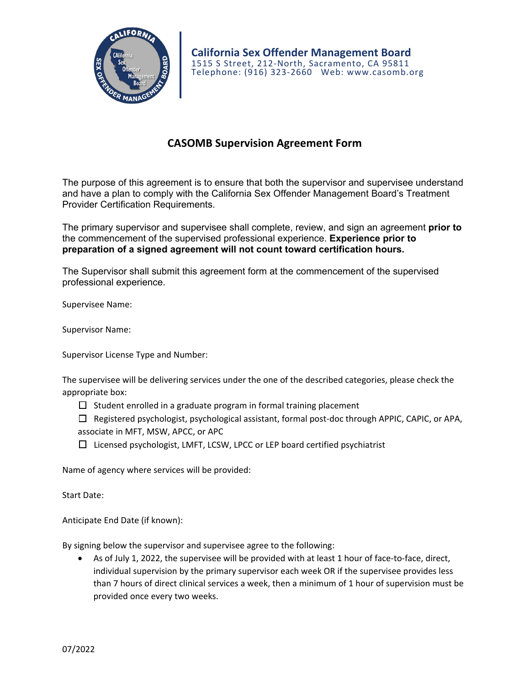

## **CASOMB Supervision Agreement Form**

The purpose of this agreement is to ensure that both the supervisor and supervisee understand and have a plan to comply with the California Sex Offender Management Board's Treatment Provider Certification Requirements.

The primary supervisor and supervisee shall complete, review, and sign an agreement **prior to**  the commencement of the supervised professional experience. **Experience prior to preparation of a signed agreement will not count toward certification hours.** 

The Supervisor shall submit this agreement form at the commencement of the supervised professional experience.

Supervisee Name:

Supervisor Name:

Supervisor License Type and Number:

| The supervisee will be delivering services under the one of the described categories, please check the |  |
|--------------------------------------------------------------------------------------------------------|--|
| appropriate box:                                                                                       |  |

 $\Box$  Student enrolled in a graduate program in formal training placement

☐ Registered psychologist, psychological assistant, formal post‐doc through APPIC, CAPIC, or APA, associate in MFT, MSW, APCC, or APC

☐ Licensed psychologist, LMFT, LCSW, LPCC or LEP board certified psychiatrist

Name of agency where services will be provided:

Start Date:

Anticipate End Date (if known):

By signing below the supervisor and supervisee agree to the following:

As of July 1, 2022, the supervisee will be provided with at least 1 hour of face-to-face, direct, individual supervision by the primary supervisor each week OR if the supervisee provides less than 7 hours of direct clinical services a week, then a minimum of 1 hour of supervision must be provided once every two weeks.